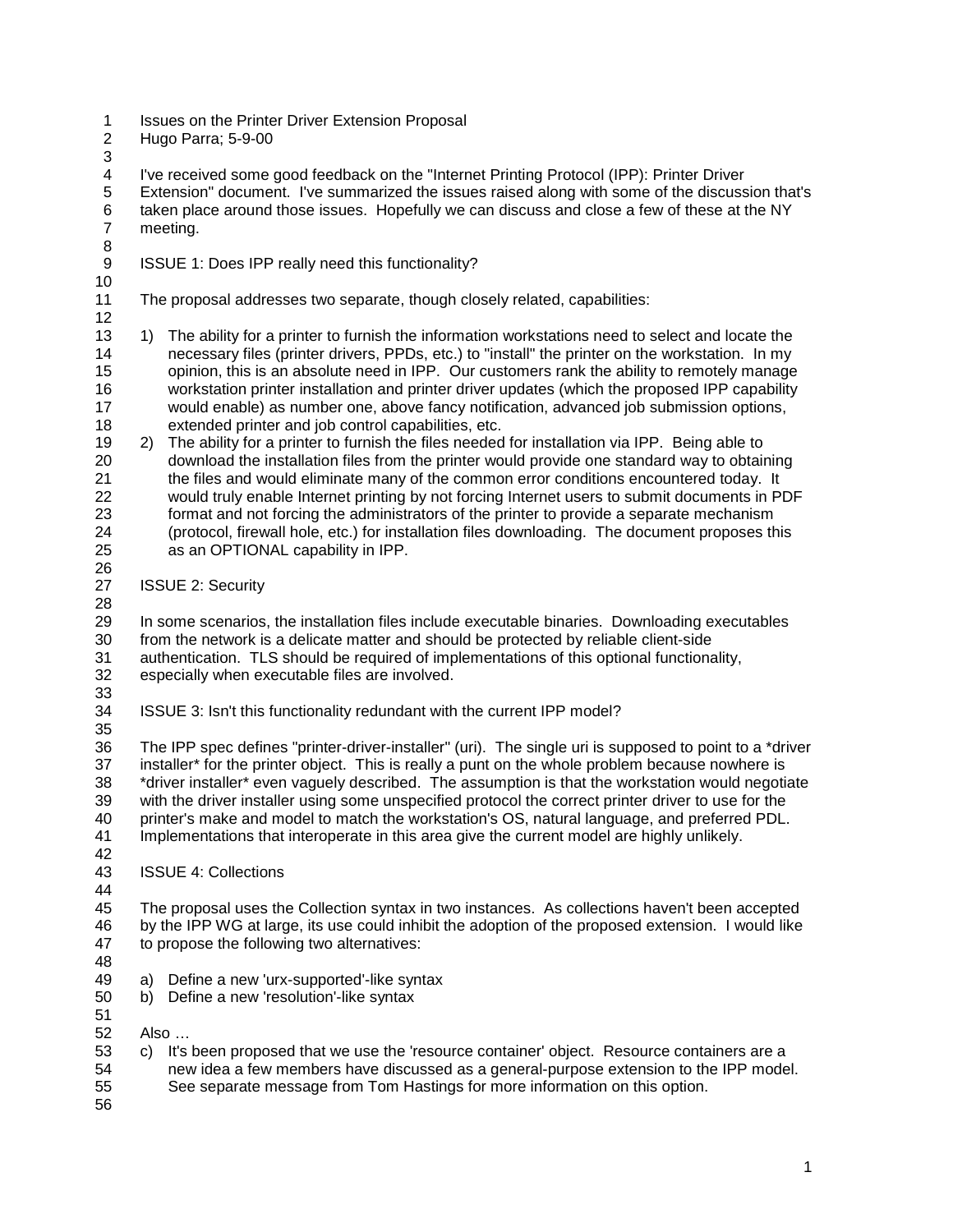- 1 Issues on the Printer Driver Extension Proposal
- Hugo Parra; 5-9-00
- 

I've received some good feedback on the "Internet Printing Protocol (IPP): Printer Driver

 Extension" document. I've summarized the issues raised along with some of the discussion that's taken place around those issues. Hopefully we can discuss and close a few of these at the NY meeting.

- 9 ISSUE 1: Does IPP really need this functionality?
- 

The proposal addresses two separate, though closely related, capabilities:

- 12<br>13 1) The ability for a printer to furnish the information workstations need to select and locate the necessary files (printer drivers, PPDs, etc.) to "install" the printer on the workstation. In my opinion, this is an absolute need in IPP. Our customers rank the ability to remotely manage workstation printer installation and printer driver updates (which the proposed IPP capability would enable) as number one, above fancy notification, advanced job submission options, extended printer and job control capabilities, etc.
- 2) The ability for a printer to furnish the files needed for installation via IPP. Being able to 20 download the installation files from the printer would provide one standard way to obtaining<br>21 the files and would eliminate many of the common error conditions encountered today. It 21 the files and would eliminate many of the common error conditions encountered today. It<br>22 would truly enable Internet printing by not forcing Internet users to submit documents in P would truly enable Internet printing by not forcing Internet users to submit documents in PDF 23 format and not forcing the administrators of the printer to provide a separate mechanism<br>24 (protocol, firewall hole, etc.) for installation files downloading. The document proposes th (protocol, firewall hole, etc.) for installation files downloading. The document proposes this as an OPTIONAL capability in IPP.
- ISSUE 2: Security

 In some scenarios, the installation files include executable binaries. Downloading executables from the network is a delicate matter and should be protected by reliable client-side

- authentication. TLS should be required of implementations of this optional functionality,
- especially when executable files are involved.
- ISSUE 3: Isn't this functionality redundant with the current IPP model?
- The IPP spec defines "printer-driver-installer" (uri). The single uri is supposed to point to a \*driver installer\* for the printer object. This is really a punt on the whole problem because nowhere is \*driver installer\* even vaguely described. The assumption is that the workstation would negotiate with the driver installer using some unspecified protocol the correct printer driver to use for the printer's make and model to match the workstation's OS, natural language, and preferred PDL. Implementations that interoperate in this area give the current model are highly unlikely.
- 42<br>43 **ISSUE 4: Collections**

 The proposal uses the Collection syntax in two instances. As collections haven't been accepted by the IPP WG at large, its use could inhibit the adoption of the proposed extension. I would like to propose the following two alternatives:

- 
- a) Define a new 'urx-supported'-like syntax
- b) Define a new 'resolution'-like syntax
- 
- Also …
- c) It's been proposed that we use the 'resource container' object. Resource containers are a 54 new idea a few members have discussed as a general-purpose extension to the IPP model.<br>55 See separate message from Tom Hastings for more information on this option. See separate message from Tom Hastings for more information on this option.
-